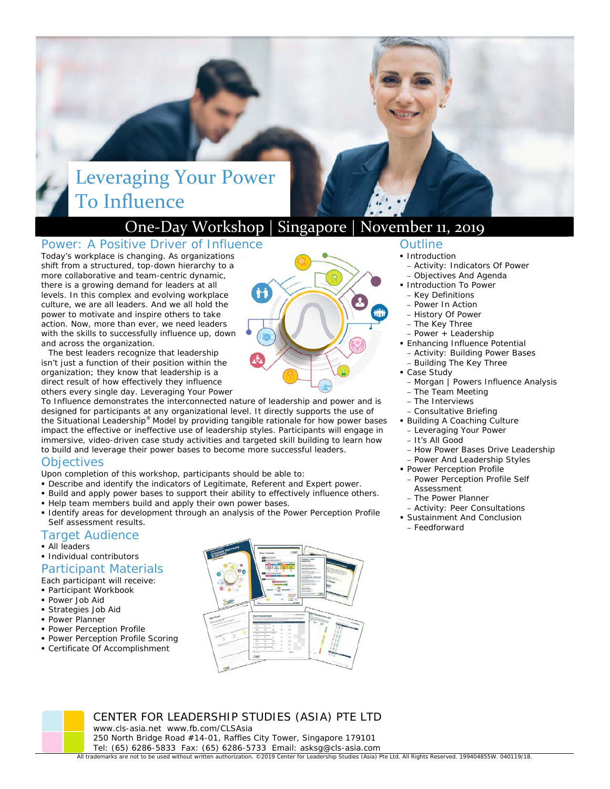# Leveraging Your Power To Influence

### One‐Day Workshop | Singapore | November 11, 2019

### Power: A Positive Driver of Influence

Today's workplace is changing. As organizations shift from a structured, top-down hierarchy to a more collaborative and team-centric dynamic, there is a growing demand for leaders at all levels. In this complex and evolving workplace culture, we are all leaders. And we all hold the power to motivate and inspire others to take action. Now, more than ever, we need leaders with the skills to successfully influence up, down and across the organization.

The best leaders recognize that leadership isn't just a function of their position within the organization; they know that leadership is a direct result of how effectively they influence others every single day. *Leveraging Your Power* 

*To Influence* demonstrates the interconnected nature of leadership and power and is designed for participants at any organizational level. It directly supports the use of the Situational Leadership® Model by providing tangible rationale for how power bases impact the effective or ineffective use of leadership styles. Participants will engage in immersive, video-driven case study activities and targeted skill building to learn how to build and leverage their power bases to become more successful leaders.

### **Objectives**

Upon completion of this workshop, participants should be able to:

- Describe and identify the indicators of Legitimate, Referent and Expert power.
- Build and apply power bases to support their ability to effectively influence others.
- Help team members build and apply their own power bases.
- Identify areas for development through an analysis of the *Power Perception Profile Self* assessment results.

### Target Audience

- **All leaders**
- **Individual contributors**
- Participant Materials

Each participant will receive:

- Participant Workbook
- Power Job Aid
- Strategies Job Aid
- **Power Planner**
- **Power Perception Profile**
- **Power Perception Profile Scoring**
- Certificate Of Accomplishment



### Outline

- **Introduction**
- Activity: Indicators Of Power
- Objectives And Agenda **Introduction To Power** 
	- Key Definitions
	-
	- Power In Action
- History Of Power
- The Key Three
- Power + Leadership
- **Enhancing Influence Potential** – Activity: Building Power Bases
- Building The Key Three
- **Case Study** 
	- Morgan | Powers Influence Analysis
	- The Team Meeting
	- The Interviews
- Consultative Briefing
- Building A Coaching Culture
	- Leveraging Your Power
	- It's All Good
	- How Power Bases Drive Leadership
- Power And Leadership Styles
- **Power Perception Profile** – Power Perception Profile Self Assessment
	- The Power Planner
- Activity: Peer Consultations
- **Sustainment And Conclusion** 
	- Feedforward

CENTER FOR LEADERSHIP STUDIES (ASIA) PTE LTD www.cls-asia.net www.fb.com/CLSAsia 250 North Bridge Road #14-01, Raffles City Tower, Singapore 179101 Tel: (65) 6286-5833 Fax: (65) 6286-5733 Email: asksg@cls-asia.com

All trademarks are not to be used without written authorization. ©2019 Center for Leadership Studies (Asia) Pte Ltd. All Rights Reserved. 199404855W. 040119/18.